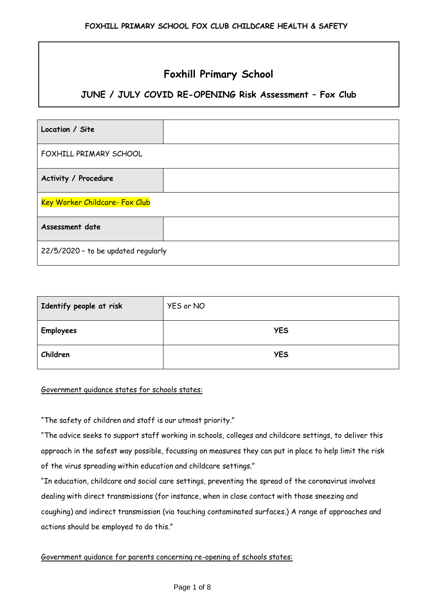# **Foxhill Primary School**

## **JUNE / JULY COVID RE-OPENING Risk Assessment – Fox Club**

| Location / Site                     |  |  |
|-------------------------------------|--|--|
| FOXHILL PRIMARY SCHOOL              |  |  |
| Activity / Procedure                |  |  |
| Key Worker Childcare- Fox Club      |  |  |
| Assessment date                     |  |  |
| 22/5/2020 - to be updated regularly |  |  |

| Identify people at risk | YES or NO  |
|-------------------------|------------|
| <b>Employees</b>        | <b>YES</b> |
| Children                | <b>YES</b> |

#### Government guidance states for schools states:

"The safety of children and staff is our utmost priority."

"The advice seeks to support staff working in schools, colleges and childcare settings, to deliver this approach in the safest way possible, focussing on measures they can put in place to help limit the risk of the virus spreading within education and childcare settings."

"In education, childcare and social care settings, preventing the spread of the coronavirus involves dealing with direct transmissions (for instance, when in close contact with those sneezing and coughing) and indirect transmission (via touching contaminated surfaces.) A range of approaches and actions should be employed to do this."

Government guidance for parents concerning re-opening of schools states: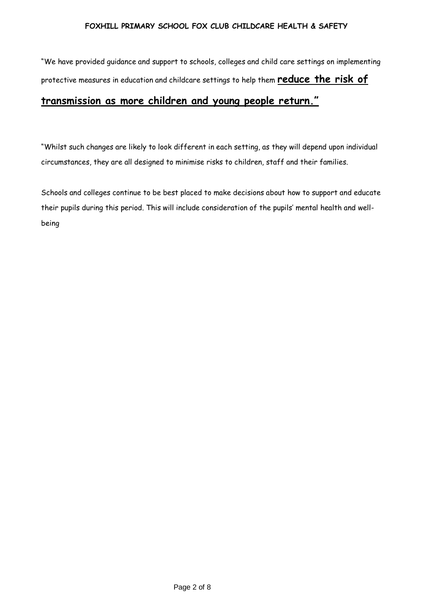"We have provided guidance and support to schools, colleges and child care settings on implementing protective measures in education and childcare settings to help them **reduce the risk of** 

# **transmission as more children and young people return."**

"Whilst such changes are likely to look different in each setting, as they will depend upon individual circumstances, they are all designed to minimise risks to children, staff and their families.

Schools and colleges continue to be best placed to make decisions about how to support and educate their pupils during this period. This will include consideration of the pupils' mental health and wellbeing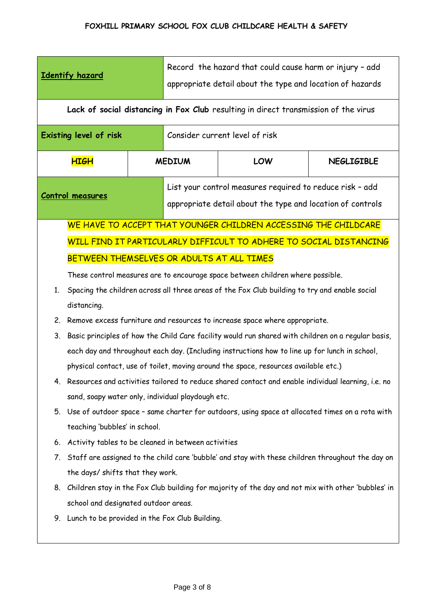|                        | Identify hazard                                                                                                                            | Record the hazard that could cause harm or injury - add<br>appropriate detail about the type and location of hazards |                                |                                                                    |                   |  |
|------------------------|--------------------------------------------------------------------------------------------------------------------------------------------|----------------------------------------------------------------------------------------------------------------------|--------------------------------|--------------------------------------------------------------------|-------------------|--|
|                        | Lack of social distancing in Fox Club resulting in direct transmission of the virus                                                        |                                                                                                                      |                                |                                                                    |                   |  |
| Existing level of risk |                                                                                                                                            |                                                                                                                      | Consider current level of risk |                                                                    |                   |  |
|                        | <b>HIGH</b>                                                                                                                                |                                                                                                                      | <b>MEDIUM</b>                  | LOW                                                                | <b>NEGLIGIBLE</b> |  |
|                        | List your control measures required to reduce risk - add<br>Control measures<br>appropriate detail about the type and location of controls |                                                                                                                      |                                |                                                                    |                   |  |
|                        |                                                                                                                                            |                                                                                                                      |                                | WE HAVE TO ACCEPT THAT YOUNGER CHILDREN ACCESSING THE CHILDCARE    |                   |  |
|                        |                                                                                                                                            |                                                                                                                      |                                | WILL FIND IT PARTICULARLY DIFFICULT TO ADHERE TO SOCIAL DISTANCING |                   |  |
|                        | BETWEEN THEMSELVES OR ADULTS AT ALL TIMES                                                                                                  |                                                                                                                      |                                |                                                                    |                   |  |
|                        | These control measures are to encourage space between children where possible.                                                             |                                                                                                                      |                                |                                                                    |                   |  |
| 1.                     | Spacing the children across all three areas of the Fox Club building to try and enable social                                              |                                                                                                                      |                                |                                                                    |                   |  |
|                        | distancing.                                                                                                                                |                                                                                                                      |                                |                                                                    |                   |  |
| 2.                     | Remove excess furniture and resources to increase space where appropriate.                                                                 |                                                                                                                      |                                |                                                                    |                   |  |
| 3.                     | Basic principles of how the Child Care facility would run shared with children on a regular basis,                                         |                                                                                                                      |                                |                                                                    |                   |  |
|                        | each day and throughout each day. (Including instructions how to line up for lunch in school,                                              |                                                                                                                      |                                |                                                                    |                   |  |
|                        | physical contact, use of toilet, moving around the space, resources available etc.)                                                        |                                                                                                                      |                                |                                                                    |                   |  |
|                        | Resources and activities tailored to reduce shared contact and enable individual learning, i.e. no                                         |                                                                                                                      |                                |                                                                    |                   |  |
|                        | sand, soapy water only, individual playdough etc.                                                                                          |                                                                                                                      |                                |                                                                    |                   |  |
| 5.                     | Use of outdoor space - same charter for outdoors, using space at allocated times on a rota with                                            |                                                                                                                      |                                |                                                                    |                   |  |
|                        | teaching 'bubbles' in school.                                                                                                              |                                                                                                                      |                                |                                                                    |                   |  |
| 6.                     | Activity tables to be cleaned in between activities                                                                                        |                                                                                                                      |                                |                                                                    |                   |  |
| 7.                     | Staff are assigned to the child care 'bubble' and stay with these children throughout the day on                                           |                                                                                                                      |                                |                                                                    |                   |  |
|                        | the days/ shifts that they work.                                                                                                           |                                                                                                                      |                                |                                                                    |                   |  |
| 8.                     | Children stay in the Fox Club building for majority of the day and not mix with other 'bubbles' in                                         |                                                                                                                      |                                |                                                                    |                   |  |
|                        | school and designated outdoor areas.<br>Lunch to be provided in the Fox Club Building.                                                     |                                                                                                                      |                                |                                                                    |                   |  |
| 9.                     |                                                                                                                                            |                                                                                                                      |                                |                                                                    |                   |  |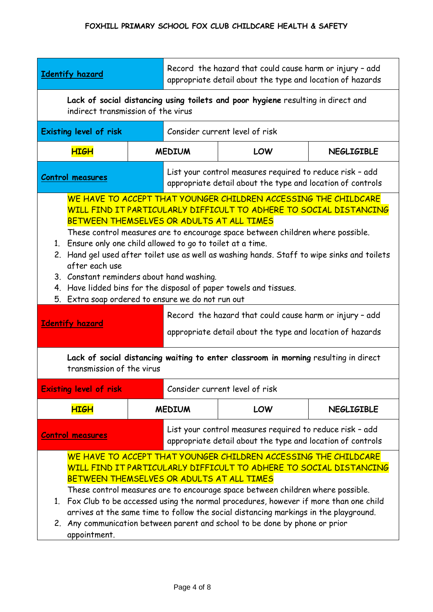| Identify hazard                                                                                                                                                                                                                                                                                                                                                                                                                                                                                                                                                                                                                   |               | Record the hazard that could cause harm or injury - add<br>appropriate detail about the type and location of hazards   |     |                   |  |
|-----------------------------------------------------------------------------------------------------------------------------------------------------------------------------------------------------------------------------------------------------------------------------------------------------------------------------------------------------------------------------------------------------------------------------------------------------------------------------------------------------------------------------------------------------------------------------------------------------------------------------------|---------------|------------------------------------------------------------------------------------------------------------------------|-----|-------------------|--|
| Lack of social distancing using toilets and poor hygiene resulting in direct and<br>indirect transmission of the virus                                                                                                                                                                                                                                                                                                                                                                                                                                                                                                            |               |                                                                                                                        |     |                   |  |
| <b>Existing level of risk</b>                                                                                                                                                                                                                                                                                                                                                                                                                                                                                                                                                                                                     |               | Consider current level of risk                                                                                         |     |                   |  |
| <b>HIGH</b>                                                                                                                                                                                                                                                                                                                                                                                                                                                                                                                                                                                                                       | <b>MEDIUM</b> |                                                                                                                        | LOW | <b>NEGLIGIBLE</b> |  |
| Control measures                                                                                                                                                                                                                                                                                                                                                                                                                                                                                                                                                                                                                  |               | List your control measures required to reduce risk - add<br>appropriate detail about the type and location of controls |     |                   |  |
| WE HAVE TO ACCEPT THAT YOUNGER CHILDREN ACCESSING THE CHILDCARE<br>WILL FIND IT PARTICULARLY DIFFICULT TO ADHERE TO SOCIAL DISTANCING<br>BETWEEN THEMSELVES OR ADULTS AT ALL TIMES<br>These control measures are to encourage space between children where possible.<br>Ensure only one child allowed to go to toilet at a time.<br>1.<br>2. Hand gel used after toilet use as well as washing hands. Staff to wipe sinks and toilets<br>after each use<br>3. Constant reminders about hand washing.<br>4. Have lidded bins for the disposal of paper towels and tissues.<br>Extra soap ordered to ensure we do not run out<br>5. |               |                                                                                                                        |     |                   |  |
| <b>Identify hazard</b>                                                                                                                                                                                                                                                                                                                                                                                                                                                                                                                                                                                                            |               | Record the hazard that could cause harm or injury - add<br>appropriate detail about the type and location of hazards   |     |                   |  |
| Lack of social distancing waiting to enter classroom in morning resulting in direct<br>transmission of the virus                                                                                                                                                                                                                                                                                                                                                                                                                                                                                                                  |               |                                                                                                                        |     |                   |  |
| Consider current level of risk<br><b>Existing level of risk</b>                                                                                                                                                                                                                                                                                                                                                                                                                                                                                                                                                                   |               |                                                                                                                        |     |                   |  |
| <b>HIGH</b>                                                                                                                                                                                                                                                                                                                                                                                                                                                                                                                                                                                                                       |               | <b>MEDIUM</b>                                                                                                          | LOW | <b>NEGLIGIBLE</b> |  |
| List your control measures required to reduce risk - add<br><b>Control measures</b><br>appropriate detail about the type and location of controls                                                                                                                                                                                                                                                                                                                                                                                                                                                                                 |               |                                                                                                                        |     |                   |  |
| WE HAVE TO ACCEPT THAT YOUNGER CHILDREN ACCESSING THE CHILDCARE<br>WILL FIND IT PARTICULARLY DIFFICULT TO ADHERE TO SOCIAL DISTANCING<br>BETWEEN THEMSELVES OR ADULTS AT ALL TIMES<br>These control measures are to encourage space between children where possible.<br>Fox Club to be accessed using the normal procedures, however if more than one child<br>1.<br>arrives at the same time to follow the social distancing markings in the playground.<br>2. Any communication between parent and school to be done by phone or prior<br>appointment.                                                                          |               |                                                                                                                        |     |                   |  |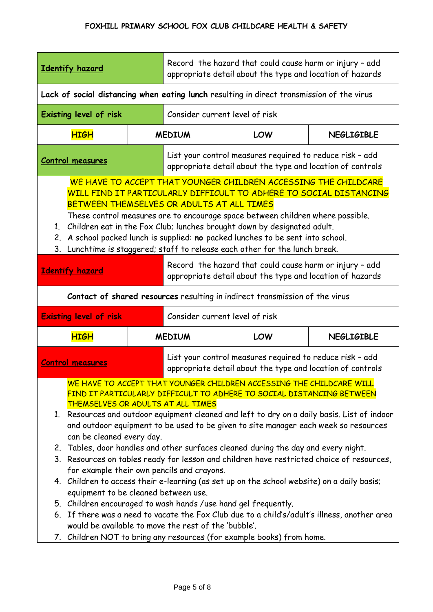| <b>Identify hazard</b>                                                                                                                                                                                                                                                                                                                                                                                                                                                                                                                                                                                                                                                                                                                                                                                                                                                                                                                                                                                                                                                           |                                                                                                                        | Record the hazard that could cause harm or injury - add<br>appropriate detail about the type and location of hazards   |                                                                             |                   |  |
|----------------------------------------------------------------------------------------------------------------------------------------------------------------------------------------------------------------------------------------------------------------------------------------------------------------------------------------------------------------------------------------------------------------------------------------------------------------------------------------------------------------------------------------------------------------------------------------------------------------------------------------------------------------------------------------------------------------------------------------------------------------------------------------------------------------------------------------------------------------------------------------------------------------------------------------------------------------------------------------------------------------------------------------------------------------------------------|------------------------------------------------------------------------------------------------------------------------|------------------------------------------------------------------------------------------------------------------------|-----------------------------------------------------------------------------|-------------------|--|
| Lack of social distancing when eating lunch resulting in direct transmission of the virus                                                                                                                                                                                                                                                                                                                                                                                                                                                                                                                                                                                                                                                                                                                                                                                                                                                                                                                                                                                        |                                                                                                                        |                                                                                                                        |                                                                             |                   |  |
| Existing level of risk                                                                                                                                                                                                                                                                                                                                                                                                                                                                                                                                                                                                                                                                                                                                                                                                                                                                                                                                                                                                                                                           |                                                                                                                        |                                                                                                                        | Consider current level of risk                                              |                   |  |
| <b>HIGH</b>                                                                                                                                                                                                                                                                                                                                                                                                                                                                                                                                                                                                                                                                                                                                                                                                                                                                                                                                                                                                                                                                      |                                                                                                                        |                                                                                                                        | <b>MEDIUM</b><br><b>LOW</b><br><b>NEGLIGIBLE</b>                            |                   |  |
| <b>Control measures</b>                                                                                                                                                                                                                                                                                                                                                                                                                                                                                                                                                                                                                                                                                                                                                                                                                                                                                                                                                                                                                                                          |                                                                                                                        | List your control measures required to reduce risk - add<br>appropriate detail about the type and location of controls |                                                                             |                   |  |
| WE HAVE TO ACCEPT THAT YOUNGER CHILDREN ACCESSING THE CHILDCARE<br>WILL FIND IT PARTICULARLY DIFFICULT TO ADHERE TO SOCIAL DISTANCING<br>BETWEEN THEMSELVES OR ADULTS AT ALL TIMES<br>These control measures are to encourage space between children where possible.<br>Children eat in the Fox Club; lunches brought down by designated adult.<br>1.<br>A school packed lunch is supplied: no packed lunches to be sent into school.<br>2.<br>Lunchtime is staggered; staff to release each other for the lunch break.<br>3.                                                                                                                                                                                                                                                                                                                                                                                                                                                                                                                                                    |                                                                                                                        |                                                                                                                        |                                                                             |                   |  |
| <b>Identify hazard</b>                                                                                                                                                                                                                                                                                                                                                                                                                                                                                                                                                                                                                                                                                                                                                                                                                                                                                                                                                                                                                                                           | Record the hazard that could cause harm or injury - add<br>appropriate detail about the type and location of hazards   |                                                                                                                        |                                                                             |                   |  |
|                                                                                                                                                                                                                                                                                                                                                                                                                                                                                                                                                                                                                                                                                                                                                                                                                                                                                                                                                                                                                                                                                  |                                                                                                                        |                                                                                                                        | Contact of shared resources resulting in indirect transmission of the virus |                   |  |
| <b>Existing level of risk</b>                                                                                                                                                                                                                                                                                                                                                                                                                                                                                                                                                                                                                                                                                                                                                                                                                                                                                                                                                                                                                                                    | Consider current level of risk                                                                                         |                                                                                                                        |                                                                             |                   |  |
| <b>HIGH</b>                                                                                                                                                                                                                                                                                                                                                                                                                                                                                                                                                                                                                                                                                                                                                                                                                                                                                                                                                                                                                                                                      |                                                                                                                        | <b>MEDIUM</b>                                                                                                          | LOW                                                                         | <b>NEGLIGIBLE</b> |  |
| <b>Control measures</b>                                                                                                                                                                                                                                                                                                                                                                                                                                                                                                                                                                                                                                                                                                                                                                                                                                                                                                                                                                                                                                                          | List your control measures required to reduce risk - add<br>appropriate detail about the type and location of controls |                                                                                                                        |                                                                             |                   |  |
| WE HAVE TO ACCEPT THAT YOUNGER CHILDREN ACCESSING THE CHILDCARE WILL<br>FIND IT PARTICULARLY DIFFICULT TO ADHERE TO SOCIAL DISTANCING BETWEEN<br>THEMSELVES OR ADULTS AT ALL TIMES<br>1. Resources and outdoor equipment cleaned and left to dry on a daily basis. List of indoor<br>and outdoor equipment to be used to be given to site manager each week so resources<br>can be cleaned every day.<br>2. Tables, door handles and other surfaces cleaned during the day and every night.<br>3. Resources on tables ready for lesson and children have restricted choice of resources,<br>for example their own pencils and crayons.<br>4. Children to access their e-learning (as set up on the school website) on a daily basis;<br>equipment to be cleaned between use.<br>5. Children encouraged to wash hands / use hand gel frequently.<br>6. If there was a need to vacate the Fox Club due to a child's/adult's illness, another area<br>would be available to move the rest of the 'bubble'.<br>7. Children NOT to bring any resources (for example books) from home. |                                                                                                                        |                                                                                                                        |                                                                             |                   |  |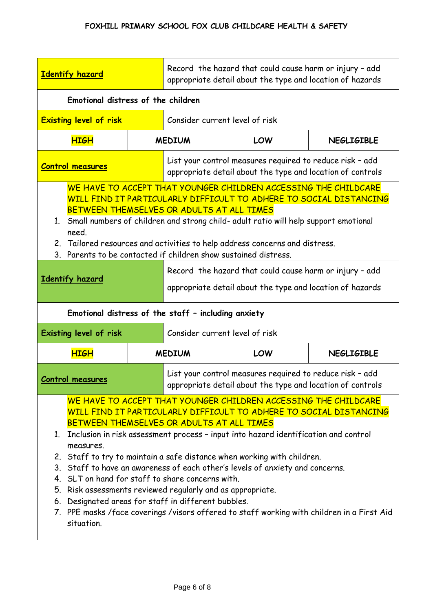| <b>Identify hazard</b>                                                                                                                                                                                                                                                                                                                                                                                                                     |  | Record the hazard that could cause harm or injury - add<br>appropriate detail about the type and location of hazards   |                                                                                                                        |                   |  |
|--------------------------------------------------------------------------------------------------------------------------------------------------------------------------------------------------------------------------------------------------------------------------------------------------------------------------------------------------------------------------------------------------------------------------------------------|--|------------------------------------------------------------------------------------------------------------------------|------------------------------------------------------------------------------------------------------------------------|-------------------|--|
| Emotional distress of the children                                                                                                                                                                                                                                                                                                                                                                                                         |  |                                                                                                                        |                                                                                                                        |                   |  |
| <b>Existing level of risk</b>                                                                                                                                                                                                                                                                                                                                                                                                              |  | Consider current level of risk                                                                                         |                                                                                                                        |                   |  |
| <b>HIGH</b>                                                                                                                                                                                                                                                                                                                                                                                                                                |  | LOW<br><b>MEDIUM</b>                                                                                                   |                                                                                                                        | <b>NEGLIGIBLE</b> |  |
| <b>Control measures</b>                                                                                                                                                                                                                                                                                                                                                                                                                    |  | List your control measures required to reduce risk - add<br>appropriate detail about the type and location of controls |                                                                                                                        |                   |  |
| WE HAVE TO ACCEPT THAT YOUNGER CHILDREN ACCESSING THE CHILDCARE<br>WILL FIND IT PARTICULARLY DIFFICULT TO ADHERE TO SOCIAL DISTANCING<br>BETWEEN THEMSELVES OR ADULTS AT ALL TIMES<br>Small numbers of children and strong child- adult ratio will help support emotional<br>1.<br>need.<br>2. Tailored resources and activities to help address concerns and distress.<br>3. Parents to be contacted if children show sustained distress. |  |                                                                                                                        |                                                                                                                        |                   |  |
| Identify hazard                                                                                                                                                                                                                                                                                                                                                                                                                            |  | Record the hazard that could cause harm or injury - add<br>appropriate detail about the type and location of hazards   |                                                                                                                        |                   |  |
| Emotional distress of the staff - including anxiety                                                                                                                                                                                                                                                                                                                                                                                        |  |                                                                                                                        |                                                                                                                        |                   |  |
|                                                                                                                                                                                                                                                                                                                                                                                                                                            |  |                                                                                                                        |                                                                                                                        |                   |  |
| Existing level of risk                                                                                                                                                                                                                                                                                                                                                                                                                     |  |                                                                                                                        | Consider current level of risk                                                                                         |                   |  |
| <b>HIGH</b>                                                                                                                                                                                                                                                                                                                                                                                                                                |  | <b>MEDIUM</b>                                                                                                          | LOW                                                                                                                    | <b>NEGLIGIBLE</b> |  |
| <b>Control measures</b>                                                                                                                                                                                                                                                                                                                                                                                                                    |  |                                                                                                                        | List your control measures required to reduce risk - add<br>appropriate detail about the type and location of controls |                   |  |